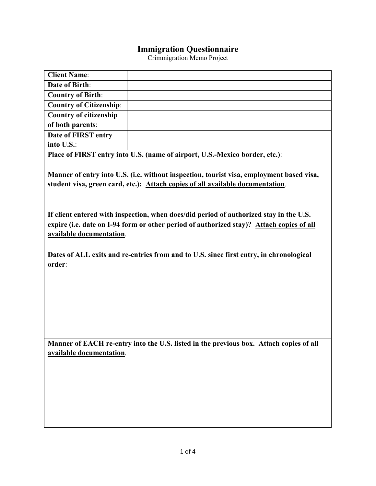## **Immigration Questionnaire**

Crimmigration Memo Project

| <b>Client Name:</b>                                                                      |                                                                                          |  |  |  |  |
|------------------------------------------------------------------------------------------|------------------------------------------------------------------------------------------|--|--|--|--|
| <b>Date of Birth:</b>                                                                    |                                                                                          |  |  |  |  |
| <b>Country of Birth:</b>                                                                 |                                                                                          |  |  |  |  |
| <b>Country of Citizenship:</b>                                                           |                                                                                          |  |  |  |  |
| <b>Country of citizenship</b>                                                            |                                                                                          |  |  |  |  |
| of both parents:                                                                         |                                                                                          |  |  |  |  |
| Date of FIRST entry                                                                      |                                                                                          |  |  |  |  |
| into U.S.:                                                                               |                                                                                          |  |  |  |  |
| Place of FIRST entry into U.S. (name of airport, U.S.-Mexico border, etc.):              |                                                                                          |  |  |  |  |
|                                                                                          |                                                                                          |  |  |  |  |
| Manner of entry into U.S. (i.e. without inspection, tourist visa, employment based visa, |                                                                                          |  |  |  |  |
| student visa, green card, etc.): Attach copies of all available documentation.           |                                                                                          |  |  |  |  |
|                                                                                          |                                                                                          |  |  |  |  |
| If client entered with inspection, when does/did period of authorized stay in the U.S.   |                                                                                          |  |  |  |  |
|                                                                                          | expire (i.e. date on I-94 form or other period of authorized stay)? Attach copies of all |  |  |  |  |
| available documentation.                                                                 |                                                                                          |  |  |  |  |
|                                                                                          |                                                                                          |  |  |  |  |
| Dates of ALL exits and re-entries from and to U.S. since first entry, in chronological   |                                                                                          |  |  |  |  |
| order:                                                                                   |                                                                                          |  |  |  |  |
|                                                                                          |                                                                                          |  |  |  |  |
|                                                                                          |                                                                                          |  |  |  |  |
|                                                                                          |                                                                                          |  |  |  |  |
|                                                                                          |                                                                                          |  |  |  |  |
|                                                                                          |                                                                                          |  |  |  |  |
|                                                                                          |                                                                                          |  |  |  |  |
|                                                                                          |                                                                                          |  |  |  |  |
| Manner of EACH re-entry into the U.S. listed in the previous box. Attach copies of all   |                                                                                          |  |  |  |  |
| available documentation.                                                                 |                                                                                          |  |  |  |  |
|                                                                                          |                                                                                          |  |  |  |  |
|                                                                                          |                                                                                          |  |  |  |  |
|                                                                                          |                                                                                          |  |  |  |  |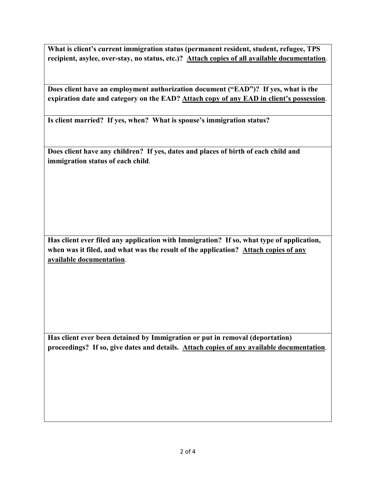**What is client's current immigration status (permanent resident, student, refugee, TPS recipient, asylee, over-stay, no status, etc.)? Attach copies of all available documentation**.

**Does client have an employment authorization document ("EAD")? If yes, what is the expiration date and category on the EAD? Attach copy of any EAD in client's possession**.

**Is client married? If yes, when? What is spouse's immigration status?**

**Does client have any children? If yes, dates and places of birth of each child and immigration status of each child**.

**Has client ever filed any application with Immigration? If so, what type of application, when was it filed, and what was the result of the application? Attach copies of any available documentation**.

**Has client ever been detained by Immigration or put in removal (deportation) proceedings? If so, give dates and details. Attach copies of any available documentation**.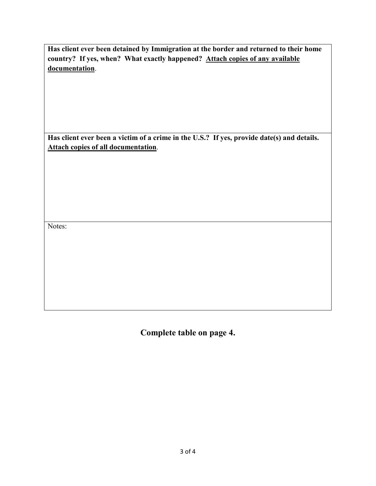**Has client ever been detained by Immigration at the border and returned to their home country? If yes, when? What exactly happened? Attach copies of any available documentation**.

**Has client ever been a victim of a crime in the U.S.? If yes, provide date(s) and details. Attach copies of all documentation**.

Notes:

**Complete table on page 4.**